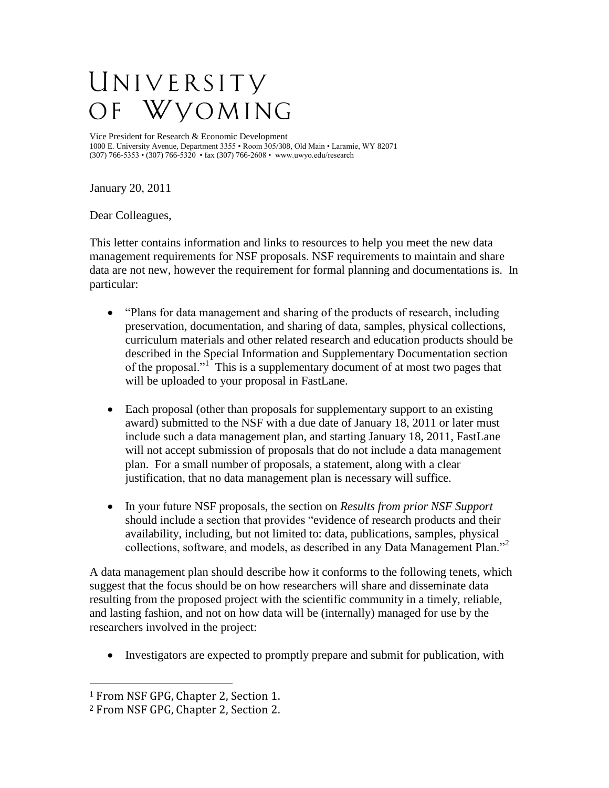## UNIVERSITY Wyoming  $\overline{O}$  F

Vice President for Research & Economic Development 1000 E. University Avenue, Department 3355 • Room 305/308, Old Main • Laramie, WY 82071 (307) 766-5353 • (307) 766-5320 • fax (307) 766-2608 • www.uwyo.edu/research

January 20, 2011

Dear Colleagues,

This letter contains information and links to resources to help you meet the new data management requirements for NSF proposals. NSF requirements to maintain and share data are not new, however the requirement for formal planning and documentations is. In particular:

- "Plans for data management and sharing of the products of research, including preservation, documentation, and sharing of data, samples, physical collections, curriculum materials and other related research and education products should be described in the Special Information and Supplementary Documentation section of the proposal."<sup>1</sup> This is a supplementary document of at most two pages that will be uploaded to your proposal in FastLane.
- Each proposal (other than proposals for supplementary support to an existing award) submitted to the NSF with a due date of January 18, 2011 or later must include such a data management plan, and starting January 18, 2011, FastLane will not accept submission of proposals that do not include a data management plan. For a small number of proposals, a statement, along with a clear justification, that no data management plan is necessary will suffice.
- In your future NSF proposals, the section on *Results from prior NSF Support*  should include a section that provides "evidence of research products and their availability, including, but not limited to: data, publications, samples, physical collections, software, and models, as described in any Data Management Plan."<sup>2</sup>

A data management plan should describe how it conforms to the following tenets, which suggest that the focus should be on how researchers will share and disseminate data resulting from the proposed project with the scientific community in a timely, reliable, and lasting fashion, and not on how data will be (internally) managed for use by the researchers involved in the project:

• Investigators are expected to promptly prepare and submit for publication, with

 $\overline{a}$ 

<sup>1</sup> From NSF GPG, Chapter 2, Section 1.

<sup>2</sup> From NSF GPG, Chapter 2, Section 2.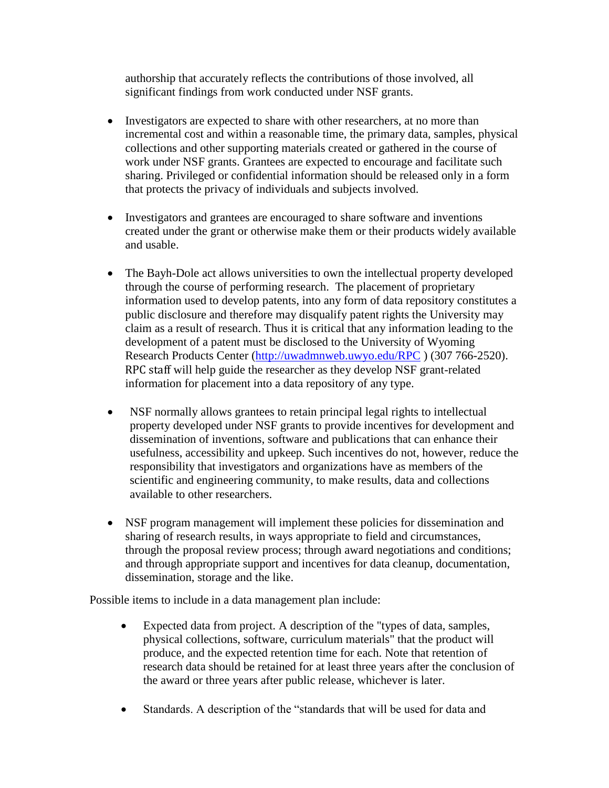authorship that accurately reflects the contributions of those involved, all significant findings from work conducted under NSF grants.

- Investigators are expected to share with other researchers, at no more than incremental cost and within a reasonable time, the primary data, samples, physical collections and other supporting materials created or gathered in the course of work under NSF grants. Grantees are expected to encourage and facilitate such sharing. Privileged or confidential information should be released only in a form that protects the privacy of individuals and subjects involved.
- Investigators and grantees are encouraged to share software and inventions created under the grant or otherwise make them or their products widely available and usable.
- The Bayh-Dole act allows universities to own the intellectual property developed through the course of performing research. The placement of proprietary information used to develop patents, into any form of data repository constitutes a public disclosure and therefore may disqualify patent rights the University may claim as a result of research. Thus it is critical that any information leading to the development of a patent must be disclosed to the University of Wyoming Research Products Center [\(http://uwadmnweb.uwyo.edu/RPC](http://uwadmnweb.uwyo.edu/RPC)) (307 766-2520). RPC staff will help guide the researcher as they develop NSF grant-related information for placement into a data repository of any type.
- NSF normally allows grantees to retain principal legal rights to intellectual property developed under NSF grants to provide incentives for development and dissemination of inventions, software and publications that can enhance their usefulness, accessibility and upkeep. Such incentives do not, however, reduce the responsibility that investigators and organizations have as members of the scientific and engineering community, to make results, data and collections available to other researchers.
- NSF program management will implement these policies for dissemination and sharing of research results, in ways appropriate to field and circumstances, through the proposal review process; through award negotiations and conditions; and through appropriate support and incentives for data cleanup, documentation, dissemination, storage and the like.

Possible items to include in a data management plan include:

- Expected data from project. A description of the "types of data, samples, physical collections, software, curriculum materials" that the product will produce, and the expected retention time for each. Note that retention of research data should be retained for at least three years after the conclusion of the award or three years after public release, whichever is later.
- Standards. A description of the "standards that will be used for data and